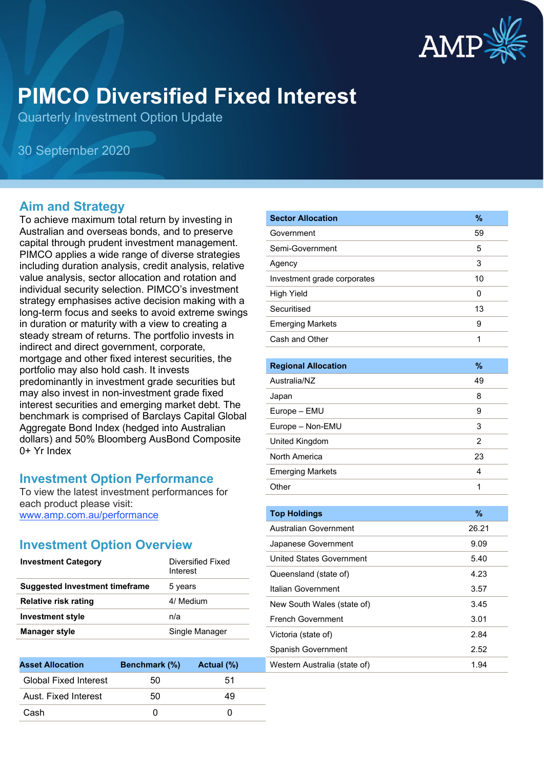

# **PIMCO Diversified Fixed Interest**

Quarterly Investment Option Update

30 September 2020

#### **Aim and Strategy**

To achieve maximum total return by investing in Australian and overseas bonds, and to preserve capital through prudent investment management. PIMCO applies a wide range of diverse strategies including duration analysis, credit analysis, relative value analysis, sector allocation and rotation and individual security selection. PIMCO's investment strategy emphasises active decision making with a long-term focus and seeks to avoid extreme swings in duration or maturity with a view to creating a steady stream of returns. The portfolio invests in indirect and direct government, corporate, mortgage and other fixed interest securities, the portfolio may also hold cash. It invests predominantly in investment grade securities but may also invest in non-investment grade fixed interest securities and emerging market debt. The benchmark is comprised of Barclays Capital Global Aggregate Bond Index (hedged into Australian dollars) and 50% Bloomberg AusBond Composite 0+ Yr Index

#### **Investment Option Performance**

To view the latest investment performances for each product please visit: www.amp.com.au/performance

#### **Investment Option Overview**

| Diversified Fixed<br>Interest |
|-------------------------------|
| 5 years                       |
| 4/ Medium                     |
| n/a                           |
| Single Manager                |
|                               |

| <b>Asset Allocation</b>      | Benchmark (%) | Actual (%) |
|------------------------------|---------------|------------|
| <b>Global Fixed Interest</b> | 50            | 51         |
| Aust. Fixed Interest         | 50            | 49         |
| Cash                         |               |            |

| <b>Sector Allocation</b>    | $\frac{9}{6}$ |
|-----------------------------|---------------|
| Government                  | 59            |
| Semi-Government             | 5             |
| Agency                      | 3             |
| Investment grade corporates | 10            |
| <b>High Yield</b>           | 0             |
| Securitised                 | 13            |
| <b>Emerging Markets</b>     | 9             |
| Cash and Other              | 1             |
|                             |               |
| <b>Regional Allocation</b>  | $\%$          |
| Australia/NZ                | 49            |
| Japan                       | 8             |
| Europe - EMU                | 9             |
| Europe - Non-EMU            | 3             |
| United Kingdom              | 2             |
| North America               | 23            |
| <b>Emerging Markets</b>     | 4             |
| Other                       | 1             |
|                             |               |
| <b>Top Holdings</b>         | $\%$          |

| <b>Top Holdings</b>          | $\frac{9}{6}$ |
|------------------------------|---------------|
| Australian Government        | 26.21         |
| Japanese Government          | 9.09          |
| United States Government     | 5.40          |
| Queensland (state of)        | 4.23          |
| Italian Government           | 3.57          |
| New South Wales (state of)   | 3.45          |
| <b>French Government</b>     | 3.01          |
| Victoria (state of)          | 2.84          |
| <b>Spanish Government</b>    | 2.52          |
| Western Australia (state of) | 1.94          |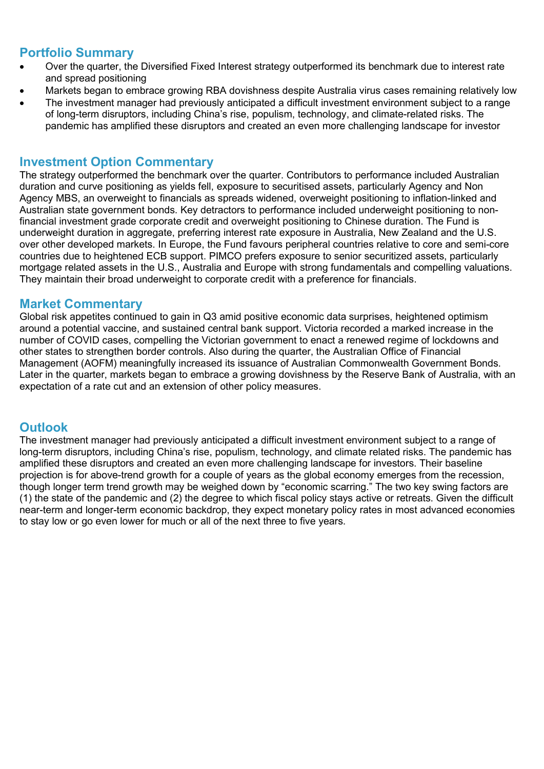### **Portfolio Summary**

- Over the quarter, the Diversified Fixed Interest strategy outperformed its benchmark due to interest rate and spread positioning
- Markets began to embrace growing RBA dovishness despite Australia virus cases remaining relatively low
- The investment manager had previously anticipated a difficult investment environment subject to a range of long-term disruptors, including China's rise, populism, technology, and climate-related risks. The pandemic has amplified these disruptors and created an even more challenging landscape for investor

#### **Investment Option Commentary**

The strategy outperformed the benchmark over the quarter. Contributors to performance included Australian duration and curve positioning as yields fell, exposure to securitised assets, particularly Agency and Non Agency MBS, an overweight to financials as spreads widened, overweight positioning to inflation-linked and Australian state government bonds. Key detractors to performance included underweight positioning to nonfinancial investment grade corporate credit and overweight positioning to Chinese duration. The Fund is underweight duration in aggregate, preferring interest rate exposure in Australia, New Zealand and the U.S. over other developed markets. In Europe, the Fund favours peripheral countries relative to core and semi-core countries due to heightened ECB support. PIMCO prefers exposure to senior securitized assets, particularly mortgage related assets in the U.S., Australia and Europe with strong fundamentals and compelling valuations. They maintain their broad underweight to corporate credit with a preference for financials.

### **Market Commentary**

Global risk appetites continued to gain in Q3 amid positive economic data surprises, heightened optimism around a potential vaccine, and sustained central bank support. Victoria recorded a marked increase in the number of COVID cases, compelling the Victorian government to enact a renewed regime of lockdowns and other states to strengthen border controls. Also during the quarter, the Australian Office of Financial Management (AOFM) meaningfully increased its issuance of Australian Commonwealth Government Bonds. Later in the quarter, markets began to embrace a growing dovishness by the Reserve Bank of Australia, with an expectation of a rate cut and an extension of other policy measures.

## **Outlook**

The investment manager had previously anticipated a difficult investment environment subject to a range of long-term disruptors, including China's rise, populism, technology, and climate related risks. The pandemic has amplified these disruptors and created an even more challenging landscape for investors. Their baseline projection is for above-trend growth for a couple of years as the global economy emerges from the recession, though longer term trend growth may be weighed down by "economic scarring." The two key swing factors are (1) the state of the pandemic and (2) the degree to which fiscal policy stays active or retreats. Given the difficult near-term and longer-term economic backdrop, they expect monetary policy rates in most advanced economies to stay low or go even lower for much or all of the next three to five years.